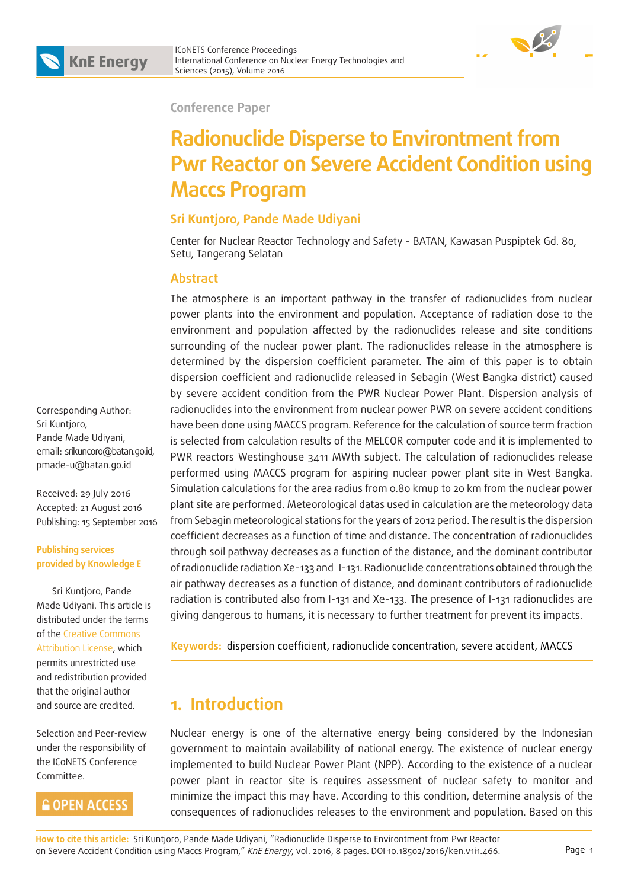### **Conference Paper**

# **Radionuclide Disperse to Environtment from Pwr Reactor on Severe Accident Condition using Maccs Program**

### **Sri Kuntjoro, Pande Made Udiyani**

Center for Nuclear Reactor Technology and Safety - BATAN, Kawasan Puspiptek Gd. 80, Setu, Tangerang Selatan

### **Abstract**

The atmosphere is an important pathway in the transfer of radionuclides from nuclear power plants into the environment and population. Acceptance of radiation dose to the environment and population affected by the radionuclides release and site conditions surrounding of the nuclear power plant. The radionuclides release in the atmosphere is determined by the dispersion coefficient parameter. The aim of this paper is to obtain dispersion coefficient and radionuclide released in Sebagin (West Bangka district) caused by severe accident condition from the PWR Nuclear Power Plant. Dispersion analysis of radionuclides into the environment from nuclear power PWR on severe accident conditions have been done using MACCS program. Reference for the calculation of source term fraction is selected from calculation results of the MELCOR computer code and it is implemented to PWR reactors Westinghouse 3411 MWth subject. The calculation of radionuclides release performed using MACCS program for aspiring nuclear power plant site in West Bangka. Simulation calculations for the area radius from 0.80 kmup to 20 km from the nuclear power plant site are performed. Meteorological datas used in calculation are the meteorology data from Sebagin meteorological stations for the years of 2012 period. The result is the dispersion coefficient decreases as a function of time and distance. The concentration of radionuclides through soil pathway decreases as a function of the distance, and the dominant contributor of radionuclide radiation Xe-133 and I-131. Radionuclide concentrations obtained through the air pathway decreases as a function of distance, and dominant contributors of radionuclide radiation is contributed also from I-131 and Xe-133. The presence of I-131 radionuclides are giving dangerous to humans, it is necessary to further treatment for prevent its impacts.

**Keywords:** dispersion coefficient, radionuclide concentration, severe accident, MACCS

## **1. Introduction**

Nuclear energy is one of the alternative energy being considered by the Indonesian government to maintain availability of national energy. The existence of nuclear energy implemented to build Nuclear Power Plant (NPP). According to the existence of a nuclear power plant in reactor site is requires assessment of nuclear safety to monitor and minimize the impact this may have. According to this condition, determine analysis of the consequences of radionuclides releases to the environment and population. Based on this

Corresponding Author: Sri Kuntioro, Pande Made Udiyani, email: srikuncoro@batan.go.id, pmade-u@batan.go.id

Received: 29 July 2016 Accepted: 21 August 2016 Publishing: 15 September 2016

### **Publishing services provided by Knowledge E**

 Sri Kuntjoro, Pande Made Udiyani. This article is distributed under the terms of the Creative Commons Attribution License, which permits unrestricted use and redistribution provided that the original author and source are credited.

Selection and Peer-review under the responsibility of the ICoNETS Conference Committee.

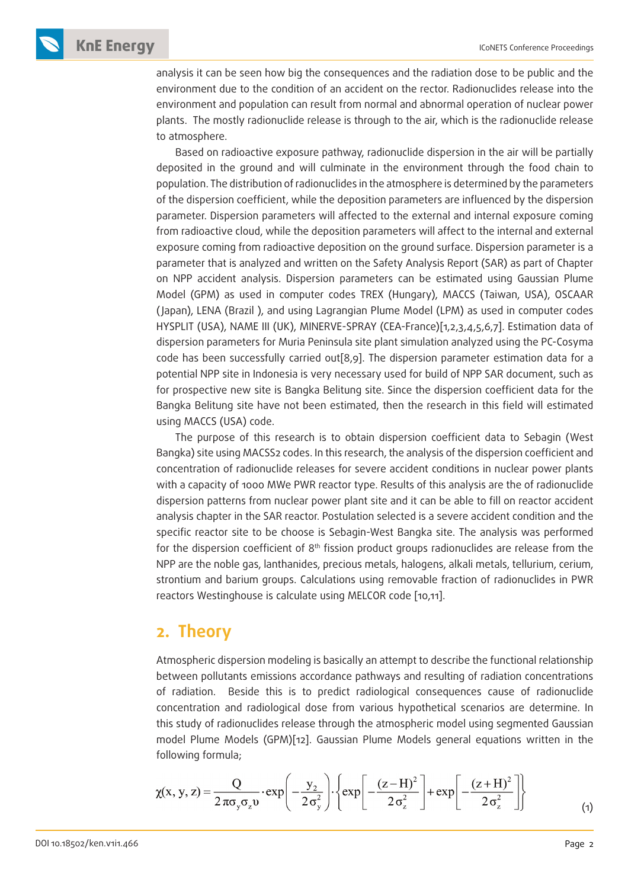analysis it can be seen how big the consequences and the radiation dose to be public and the environment due to the condition of an accident on the rector. Radionuclides release into the environment and population can result from normal and abnormal operation of nuclear power plants. The mostly radionuclide release is through to the air, which is the radionuclide release to atmosphere.

Based on radioactive exposure pathway, radionuclide dispersion in the air will be partially deposited in the ground and will culminate in the environment through the food chain to population. The distribution of radionuclides in the atmosphere is determined by the parameters of the dispersion coefficient, while the deposition parameters are influenced by the dispersion parameter. Dispersion parameters will affected to the external and internal exposure coming from radioactive cloud, while the deposition parameters will affect to the internal and external exposure coming from radioactive deposition on the ground surface. Dispersion parameter is a parameter that is analyzed and written on the Safety Analysis Report (SAR) as part of Chapter on NPP accident analysis. Dispersion parameters can be estimated using Gaussian Plume Model (GPM) as used in computer codes TREX (Hungary), MACCS (Taiwan, USA), OSCAAR ( Japan), LENA (Brazil ), and using Lagrangian Plume Model (LPM) as used in computer codes HYSPLIT (USA), NAME III (UK), MINERVE-SPRAY (CEA-France)[1,2,3,4,5,6,7]. Estimation data of dispersion parameters for Muria Peninsula site plant simulation analyzed using the PC-Cosyma code has been successfully carried out[8,9]. The dispersion parameter estimation data for a potential NPP site in Indonesia is very necessary used for build of NPP SAR document, such as for prospective new site is Bangka Belitung site. Since the dispersion coefficient data for the Bangka Belitung site have not been estimated, then the research in this field will estimated using MACCS (USA) code.

The purpose of this research is to obtain dispersion coefficient data to Sebagin (West Bangka) site using MACSS2 codes. In this research, the analysis of the dispersion coefficient and concentration of radionuclide releases for severe accident conditions in nuclear power plants with a capacity of 1000 MWe PWR reactor type. Results of this analysis are the of radionuclide dispersion patterns from nuclear power plant site and it can be able to fill on reactor accident analysis chapter in the SAR reactor. Postulation selected is a severe accident condition and the specific reactor site to be choose is Sebagin-West Bangka site. The analysis was performed for the dispersion coefficient of  $8<sup>th</sup>$  fission product groups radionuclides are release from the NPP are the noble gas, lanthanides, precious metals, halogens, alkali metals, tellurium, cerium, strontium and barium groups. Calculations using removable fraction of radionuclides in PWR reactors Westinghouse is calculate using MELCOR code [10,11].

### **2. Theory**

Atmospheric dispersion modeling is basically an attempt to describe the functional relationship between pollutants emissions accordance pathways and resulting of radiation concentrations of radiation. Beside this is to predict radiological consequences cause of radionuclide concentration and radiological dose from various hypothetical scenarios are determine. In this study of radionuclides release through the atmospheric model using segmented Gaussian model Plume Models (GPM)[12]. Gaussian Plume Models general equations written in the following formula;

$$
\chi(x, y, z) = \frac{Q}{2 \pi \sigma_y \sigma_z v} \cdot \exp\left(-\frac{y_2}{2 \sigma_y^2}\right) \cdot \left\{\exp\left[-\frac{(z-H)^2}{2 \sigma_z^2}\right] + \exp\left[-\frac{(z+H)^2}{2 \sigma_z^2}\right]\right\}
$$
(1)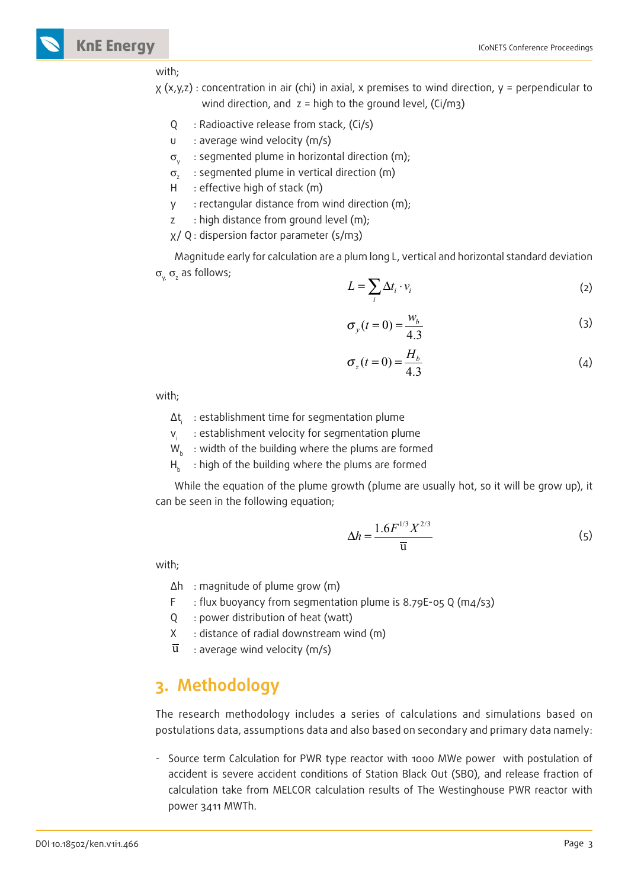#### with;

- χ (x,y,z) : concentration in air (chi) in axial, x premises to wind direction, y = perpendicular to wind direction, and  $z =$  high to the ground level, (Ci/m3)
	- Q : Radioactive release from stack, (Ci/s)
	- υ : average wind velocity (m/s)
	- $\sigma_{y}$  : segmented plume in horizontal direction (m);
	- σ<sub>z</sub>: segmented plume in vertical direction (m)
	- H : effective high of stack (m)
	- y : rectangular distance from wind direction (m);
	- z : high distance from ground level (m);
	- χ/ Q : dispersion factor parameter (s/m3)

Magnitude early for calculation are a plum long L, vertical and horizontal standard deviation  $\sigma_{_{\sf Y_{\sf X}}}$   $\sigma_{_{\sf Z}}$  as follows;

$$
L = \sum_{i} \Delta t_i \cdot v_i \tag{2}
$$

$$
\sigma_y(t=0) = \frac{w_b}{4.3} \tag{3}
$$

$$
\sigma_z(t=0) = \frac{H_b}{4.3} \tag{4}
$$

with;

- ∆ti : establishment time for segmentation plume
- v<sub>i</sub> : establishment velocity for segmentation plume
- $W_h$ : width of the building where the plums are formed
- $H_k$ : high of the building where the plums are formed

While the equation of the plume growth (plume are usually hot, so it will be grow up), it can be seen in the following equation;

$$
\Delta h = \frac{1.6F^{1/3}X^{2/3}}{\overline{u}}\tag{5}
$$

with;

- ∆h : magnitude of plume grow (m)
- F : flux buoyancy from segmentation plume is 8.79E-05 Q (m4/s3)
- Q : power distribution of heat (watt)
- X : distance of radial downstream wind (m)
- $\overline{u}$  : average wind velocity (m/s)

## **3. Methodology**

The research methodology includes a series of calculations and simulations based on postulations data, assumptions data and also based on secondary and primary data namely:

- Source term Calculation for PWR type reactor with 1000 MWe power with postulation of accident is severe accident conditions of Station Black Out (SBO), and release fraction of calculation take from MELCOR calculation results of The Westinghouse PWR reactor with power 3411 MWTh.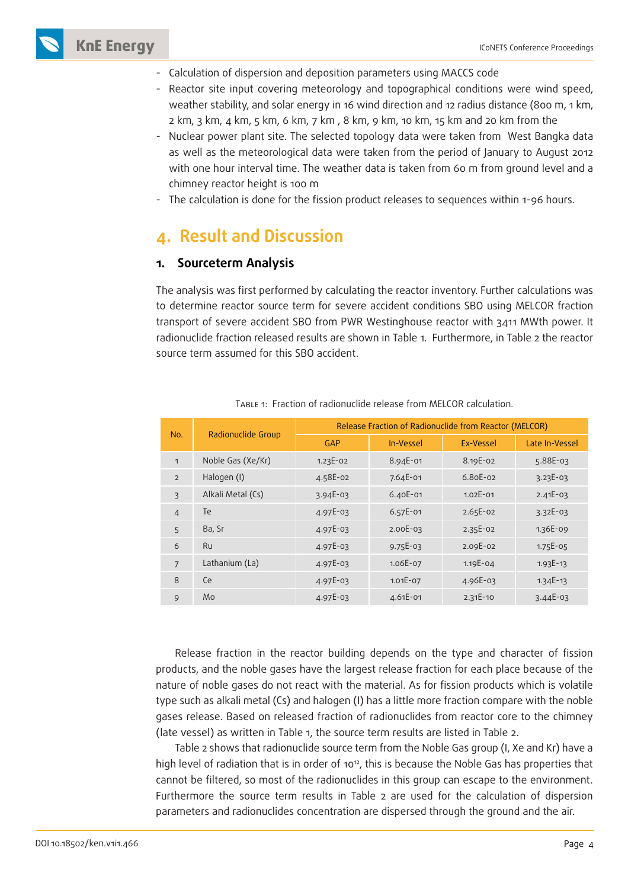

- Calculation of dispersion and deposition parameters using MACCS code
- Reactor site input covering meteorology and topographical conditions were wind speed, weather stability, and solar energy in 16 wind direction and 12 radius distance (800 m, 1 km, 2 km, 3 km, 4 km, 5 km, 6 km, 7 km , 8 km, 9 km, 10 km, 15 km and 20 km from the
- Nuclear power plant site. The selected topology data were taken from West Bangka data as well as the meteorological data were taken from the period of January to August 2012 with one hour interval time. The weather data is taken from 60 m from ground level and a chimney reactor height is 100 m
- The calculation is done for the fission product releases to sequences within 1-96 hours.

## **4. Result and Discussion**

### **1. Sourceterm Analysis**

The analysis was first performed by calculating the reactor inventory. Further calculations was to determine reactor source term for severe accident conditions SBO using MELCOR fraction transport of severe accident SBO from PWR Westinghouse reactor with 3411 MWth power. It radionuclide fraction released results are shown in Table 1. Furthermore, in Table 2 the reactor source term assumed for this SBO accident.

| No.            | Radionuclide Group | Release Fraction of Radionuclide from Reactor (MELCOR) |              |              |                |  |
|----------------|--------------------|--------------------------------------------------------|--------------|--------------|----------------|--|
|                |                    | GAP                                                    | In-Vessel    | Ex-Vessel    | Late In-Vessel |  |
| $\mathbf{1}$   | Noble Gas (Xe/Kr)  | $1.23E - 02$                                           | 8.94E-01     | 8.19E-02     | $5.88E-03$     |  |
| $\overline{2}$ | Halogen (I)        | 4.58E-02                                               | 7.64E-01     | $6.80E-02$   | $3.23E-03$     |  |
| 3              | Alkali Metal (Cs)  | $3.94E-03$                                             | $6.40E - 01$ | $1.02E - 01$ | $2.41E-03$     |  |
| $\overline{4}$ | <b>Te</b>          | $4.97E-03$                                             | $6.57E-01$   | $2.65E-02$   | $3.32E-03$     |  |
| 5              | Ba, Sr             | $4.97E-03$                                             | $2.00E-03$   | $2.35E-02$   | 1.36E-09       |  |
| 6              | <b>Ru</b>          | $4.97E-03$                                             | $9.75E-03$   | 2.09E-02     | $1.75E-0.5$    |  |
| $\overline{7}$ | Lathanium (La)     | $4.97E-03$                                             | 1.06E-07     | $1.19E - 04$ | $1.93E - 13$   |  |
| 8              | Ce                 | $4.97E-03$                                             | $1.01E-07$   | 4.96E-03     | $1.34E - 13$   |  |
| 9              | Mo                 | $4.97E-03$                                             | $4.61E - 01$ | $2.31E - 10$ | $3.44E-03$     |  |

Table 1: Fraction of radionuclide release from MELCOR calculation.

Release fraction in the reactor building depends on the type and character of fission products, and the noble gases have the largest release fraction for each place because of the nature of noble gases do not react with the material. As for fission products which is volatile type such as alkali metal (Cs) and halogen (I) has a little more fraction compare with the noble gases release. Based on released fraction of radionuclides from reactor core to the chimney (late vessel) as written in Table 1, the source term results are listed in Table 2.

Table 2 shows that radionuclide source term from the Noble Gas group (I, Xe and Kr) have a high level of radiation that is in order of 10<sup>12</sup>, this is because the Noble Gas has properties that cannot be filtered, so most of the radionuclides in this group can escape to the environment. Furthermore the source term results in Table 2 are used for the calculation of dispersion parameters and radionuclides concentration are dispersed through the ground and the air.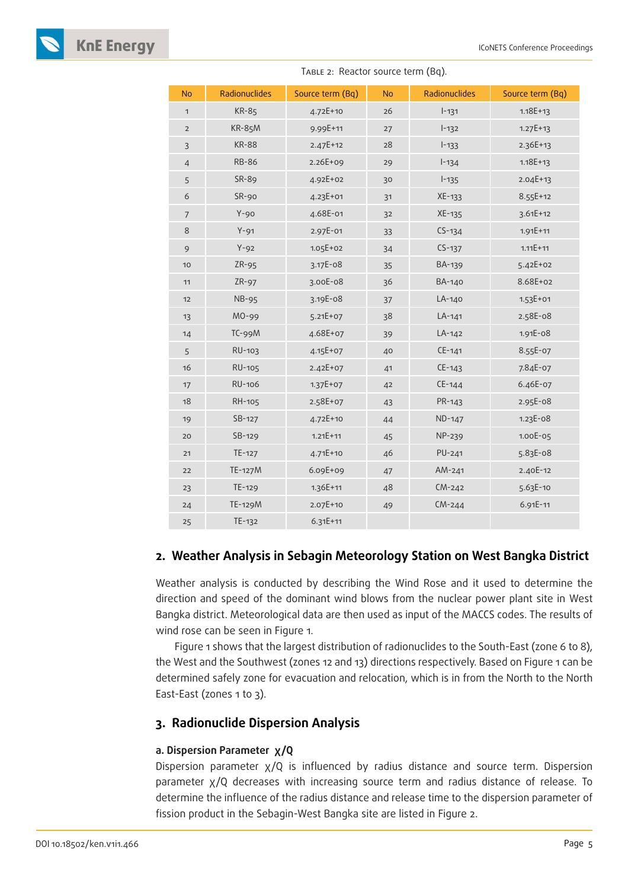

| <b>No</b>      | Radionuclides | Source term (Bq) | <b>No</b> | Radionuclides | Source term (Bq) |
|----------------|---------------|------------------|-----------|---------------|------------------|
| $\mathbf{1}$   | <b>KR-85</b>  | $4.72E + 10$     | 26        | $1 - 131$     | $1.18E + 13$     |
| $\mathbf{2}$   | <b>KR-85M</b> | 9.99E+11         | $27\,$    | $I - 132$     | $1.27E + 13$     |
| $\overline{3}$ | <b>KR-88</b>  | $2.47E+12$       | 28        | $I-133$       | 2.36E+13         |
| $\sqrt{4}$     | <b>RB-86</b>  | $2.26E + 09$     | 29        | $1 - 134$     | $1.18E + 13$     |
| 5              | SR-89         | 4.92E+02         | 30        | $1 - 135$     | $2.04E+13$       |
| $\epsilon$     | $SR-90$       | 4.23E+01         | 31        | XE-133        | 8.55E+12         |
| $\overline{7}$ | $Y-90$        | 4.68E-01         | 32        | XE-135        | $3.61E + 12$     |
| $\,8\,$        | $Y-91$        | 2.97E-01         | 33        | $CS-134$      | $1.91E + 11$     |
| $\mathfrak{g}$ | $Y-92$        | $1.05E + 02$     | 34        | $CS-137$      | $1.11E + 11$     |
| 10             | $ZR-95$       | $3.17E-08$       | 35        | BA-139        | $5.42E + 02$     |
| 11             | $ZR-97$       | 3.00E-08         | 36        | BA-140        | 8.68E+02         |
| 12             | <b>NB-95</b>  | 3.19E-08         | 37        | LA-140        | $1.53E + 01$     |
| 13             | MO-99         | $5.21E+07$       | 38        | LA-141        | 2.58E-08         |
| 14             | TC-99M        | 4.68E+07         | 39        | LA-142        | 1.91E-08         |
| 5              | RU-103        | 4.15E+07         | 40        | $CE-141$      | 8.55E-07         |
| 16             | RU-105        | $2.42E+07$       | 41        | $CE-143$      | 7.84E-07         |
| 17             | RU-106        | $1.37E+07$       | 42        | $CE-144$      | 6.46E-07         |
| 18             | RH-105        | 2.58E+07         | 43        | PR-143        | 2.95E-08         |
| 19             | $SB-127$      | $4.72E + 10$     | 44        | ND-147        | 1.23E-08         |
| 20             | SB-129        | $1.21E + 11$     | 45        | NP-239        | 1.00E-05         |
| 21             | TE-127        | $4.71E+10$       | 46        | PU-241        | 5.83E-08         |
| 22             | TE-127M       | $6.09E + 09$     | 47        | $AM-241$      | 2.40E-12         |
| 23             | TE-129        | $1.36E+11$       | 48        | $CM-242$      | 5.63E-10         |
| 24             | TE-129M       | 2.07E+10         | 49        | $CM-244$      | $6.91E - 11$     |
| 25             | TE-132        | $6.31E + 11$     |           |               |                  |

TABLE 2: Reactor source term (Bq).

### **2. Weather Analysis in Sebagin Meteorology Station on West Bangka District**

Weather analysis is conducted by describing the Wind Rose and it used to determine the direction and speed of the dominant wind blows from the nuclear power plant site in West Bangka district. Meteorological data are then used as input of the MACCS codes. The results of wind rose can be seen in Figure 1.

Figure 1 shows that the largest distribution of radionuclides to the South-East (zone 6 to 8), the West and the Southwest (zones 12 and 13) directions respectively. Based on Figure 1 can be determined safely zone for evacuation and relocation, which is in from the North to the North East-East (zones 1 to 3).

### **3. Radionuclide Dispersion Analysis**

### **a. Dispersion Parameter χ/Q**

Dispersion parameter χ/Q is influenced by radius distance and source term. Dispersion parameter χ/Q decreases with increasing source term and radius distance of release. To determine the influence of the radius distance and release time to the dispersion parameter of fission product in the Sebagin-West Bangka site are listed in Figure 2.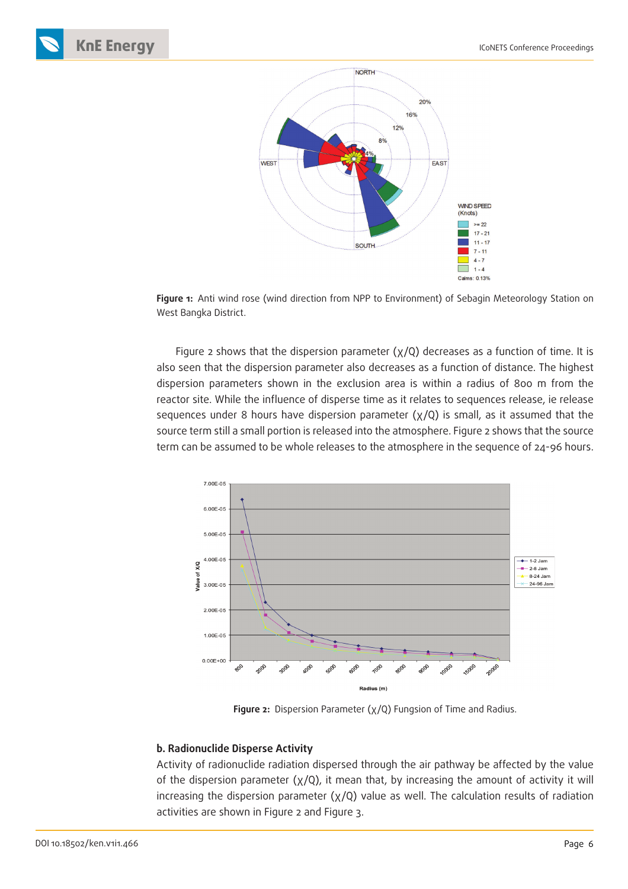





**Figure 1:** Anti wind rose (wind direction from NPP to Environment) of Sebagin Meteorology Station on West Bangka District.

Figure 2 shows that the dispersion parameter  $(x/Q)$  decreases as a function of time. It is also seen that the dispersion parameter also decreases as a function of distance. The highest dispersion parameters shown in the exclusion area is within a radius of 800 m from the reactor site. While the influence of disperse time as it relates to sequences release, ie release sequences under 8 hours have dispersion parameter  $(x/Q)$  is small, as it assumed that the source term still a small portion is released into the atmosphere. Figure 2 shows that the source term can be assumed to be whole releases to the atmosphere in the sequence of 24-96 hours.



**Figure 2:** Dispersion Parameter (χ/Q) Fungsion of Time and Radius.

### **b. Radionuclide Disperse Activity**

Activity of radionuclide radiation dispersed through the air pathway be affected by the value of the dispersion parameter  $(x/Q)$ , it mean that, by increasing the amount of activity it will increasing the dispersion parameter (χ/Q) value as well. The calculation results of radiation activities are shown in Figure 2 and Figure 3.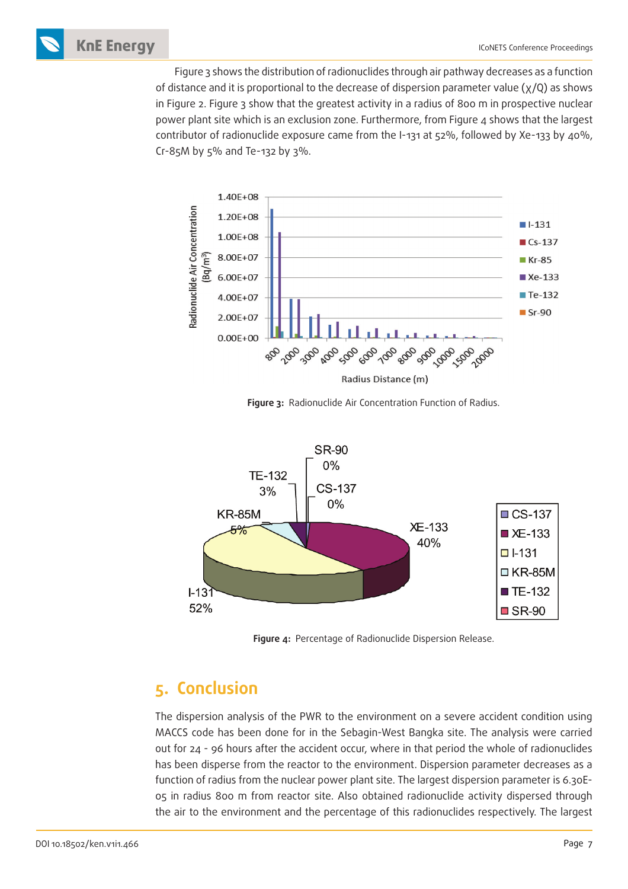Figure 3 shows the distribution of radionuclides through air pathway decreases as a function of distance and it is proportional to the decrease of dispersion parameter value (χ/Q) as shows in Figure 2. Figure 3 show that the greatest activity in a radius of 800 m in prospective nuclear power plant site which is an exclusion zone. Furthermore, from Figure 4 shows that the largest contributor of radionuclide exposure came from the I-131 at 52%, followed by Xe-133 by 40%, Cr-85M by 5% and Te-132 by 3%.



**Figure 3:** Radionuclide Air Concentration Function of Radius.



**Figure 4:** Percentage of Radionuclide Dispersion Release.

## **5. Conclusion**

The dispersion analysis of the PWR to the environment on a severe accident condition using MACCS code has been done for in the Sebagin-West Bangka site. The analysis were carried out for 24 - 96 hours after the accident occur, where in that period the whole of radionuclides has been disperse from the reactor to the environment. Dispersion parameter decreases as a function of radius from the nuclear power plant site. The largest dispersion parameter is 6.30E-05 in radius 800 m from reactor site. Also obtained radionuclide activity dispersed through the air to the environment and the percentage of this radionuclides respectively. The largest